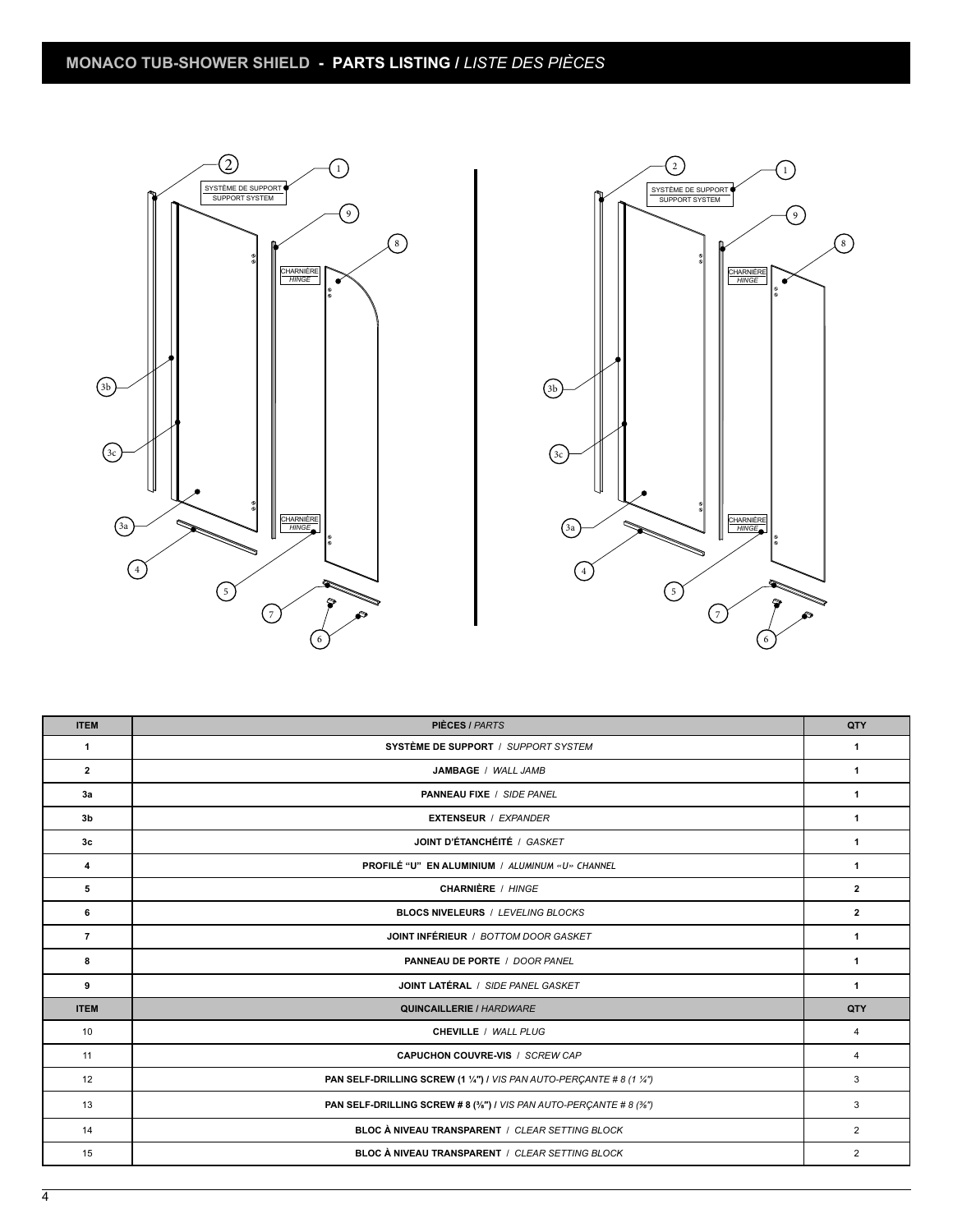



| <b>ITEM</b>    | <b>PIÈCES / PARTS</b>                                                 | QTY            |
|----------------|-----------------------------------------------------------------------|----------------|
| 1              | SYSTÈME DE SUPPORT / SUPPORT SYSTEM                                   |                |
| $\overline{2}$ | JAMBAGE / WALL JAMB                                                   | 1              |
| 3a             | <b>PANNEAU FIXE / SIDE PANEL</b>                                      | 1              |
| 3 <sub>b</sub> | <b>EXTENSEUR / EXPANDER</b>                                           | 1              |
| 3 <sub>c</sub> | JOINT D'ÉTANCHÉITÉ / GASKET                                           | 1              |
| 4              | PROFILÉ "U" EN ALUMINIUM / ALUMINUM «U» CHANNEL                       | 1              |
| 5              | <b>CHARNIÈRE</b> / HINGE                                              | $\overline{2}$ |
| 6              | <b>BLOCS NIVELEURS / LEVELING BLOCKS</b>                              | $\mathbf{2}$   |
| $\overline{7}$ | JOINT INFÉRIEUR / BOTTOM DOOR GASKET                                  | $\mathbf{1}$   |
| 8              | PANNEAU DE PORTE / DOOR PANEL                                         | 1              |
| 9              | JOINT LATÉRAL / SIDE PANEL GASKET                                     | $\mathbf{1}$   |
| <b>ITEM</b>    | <b>QUINCAILLERIE / HARDWARE</b>                                       | QTY            |
| 10             | CHEVILLE / WALL PLUG                                                  | 4              |
| 11             | CAPUCHON COUVRE-VIS / SCREW CAP                                       | 4              |
| 12             | PAN SELF-DRILLING SCREW (1 1/4") / VIS PAN AUTO-PERÇANTE # 8 (1 1/4") | 3              |
| 13             | PAN SELF-DRILLING SCREW # 8 (3/8") / VIS PAN AUTO-PERCANTE # 8 (3/8") | 3              |
| 14             | BLOC À NIVEAU TRANSPARENT / CLEAR SETTING BLOCK                       | $\overline{2}$ |
| 15             | BLOC À NIVEAU TRANSPARENT / CLEAR SETTING BLOCK                       | $\overline{2}$ |